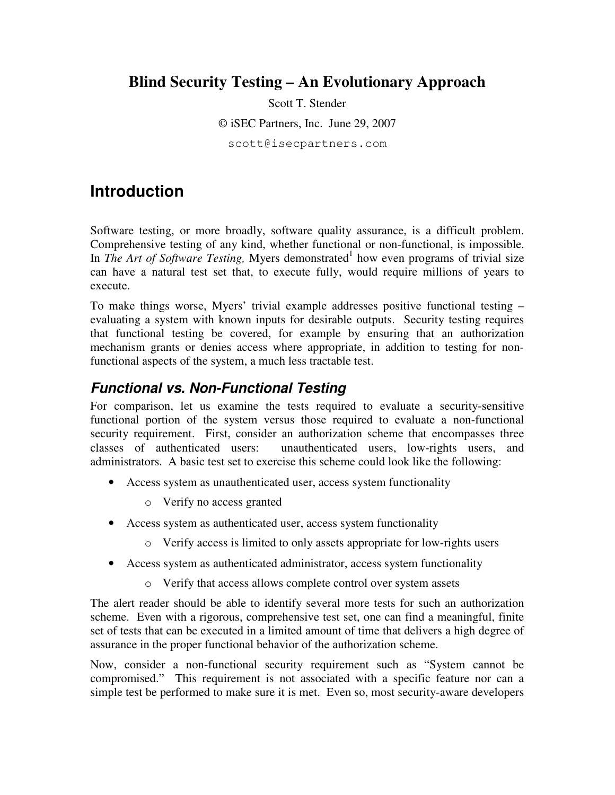### **Blind Security Testing – An Evolutionary Approach**

Scott T. Stender

© iSEC Partners, Inc. June 29, 2007

scott@isecpartners.com

### **Introduction**

Software testing, or more broadly, software quality assurance, is a difficult problem. Comprehensive testing of any kind, whether functional or non-functional, is impossible. In *The Art of Software Testing*, Myers demonstrated<sup>1</sup> how even programs of trivial size can have a natural test set that, to execute fully, would require millions of years to execute.

To make things worse, Myers' trivial example addresses positive functional testing – evaluating a system with known inputs for desirable outputs. Security testing requires that functional testing be covered, for example by ensuring that an authorization mechanism grants or denies access where appropriate, in addition to testing for nonfunctional aspects of the system, a much less tractable test.

#### **Functional vs. Non-Functional Testing**

For comparison, let us examine the tests required to evaluate a security-sensitive functional portion of the system versus those required to evaluate a non-functional security requirement. First, consider an authorization scheme that encompasses three classes of authenticated users: unauthenticated users, low-rights users, and administrators. A basic test set to exercise this scheme could look like the following:

- Access system as unauthenticated user, access system functionality
	- o Verify no access granted
- Access system as authenticated user, access system functionality
	- o Verify access is limited to only assets appropriate for low-rights users
- Access system as authenticated administrator, access system functionality
	- o Verify that access allows complete control over system assets

The alert reader should be able to identify several more tests for such an authorization scheme. Even with a rigorous, comprehensive test set, one can find a meaningful, finite set of tests that can be executed in a limited amount of time that delivers a high degree of assurance in the proper functional behavior of the authorization scheme.

Now, consider a non-functional security requirement such as "System cannot be compromised." This requirement is not associated with a specific feature nor can a simple test be performed to make sure it is met. Even so, most security-aware developers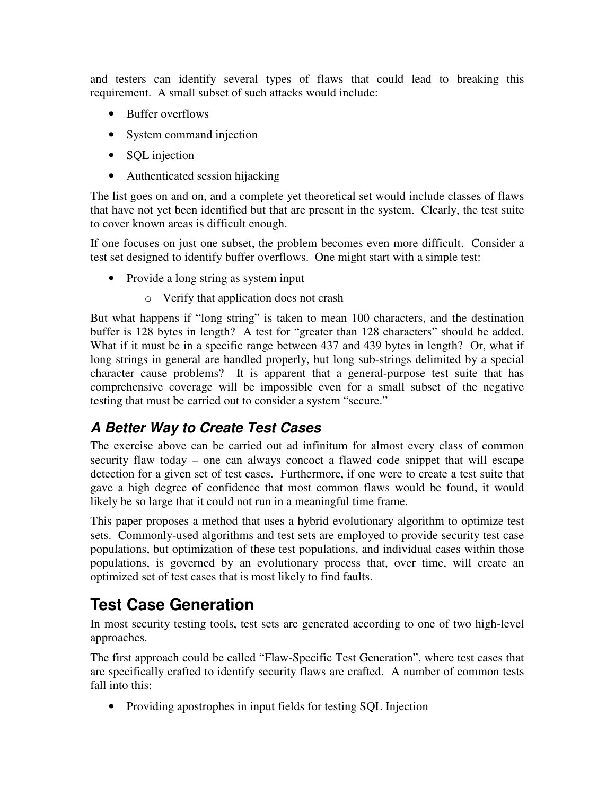and testers can identify several types of flaws that could lead to breaking this requirement. A small subset of such attacks would include:

- Buffer overflows
- System command injection
- SQL injection
- Authenticated session hijacking

The list goes on and on, and a complete yet theoretical set would include classes of flaws that have not yet been identified but that are present in the system. Clearly, the test suite to cover known areas is difficult enough.

If one focuses on just one subset, the problem becomes even more difficult. Consider a test set designed to identify buffer overflows. One might start with a simple test:

- Provide a long string as system input
	- o Verify that application does not crash

But what happens if "long string" is taken to mean 100 characters, and the destination buffer is 128 bytes in length? A test for "greater than 128 characters" should be added. What if it must be in a specific range between 437 and 439 bytes in length? Or, what if long strings in general are handled properly, but long sub-strings delimited by a special character cause problems? It is apparent that a general-purpose test suite that has comprehensive coverage will be impossible even for a small subset of the negative testing that must be carried out to consider a system "secure."

### **A Better Way to Create Test Cases**

The exercise above can be carried out ad infinitum for almost every class of common security flaw today – one can always concoct a flawed code snippet that will escape detection for a given set of test cases. Furthermore, if one were to create a test suite that gave a high degree of confidence that most common flaws would be found, it would likely be so large that it could not run in a meaningful time frame.

This paper proposes a method that uses a hybrid evolutionary algorithm to optimize test sets. Commonly-used algorithms and test sets are employed to provide security test case populations, but optimization of these test populations, and individual cases within those populations, is governed by an evolutionary process that, over time, will create an optimized set of test cases that is most likely to find faults.

# **Test Case Generation**

In most security testing tools, test sets are generated according to one of two high-level approaches.

The first approach could be called "Flaw-Specific Test Generation", where test cases that are specifically crafted to identify security flaws are crafted. A number of common tests fall into this:

• Providing apostrophes in input fields for testing SQL Injection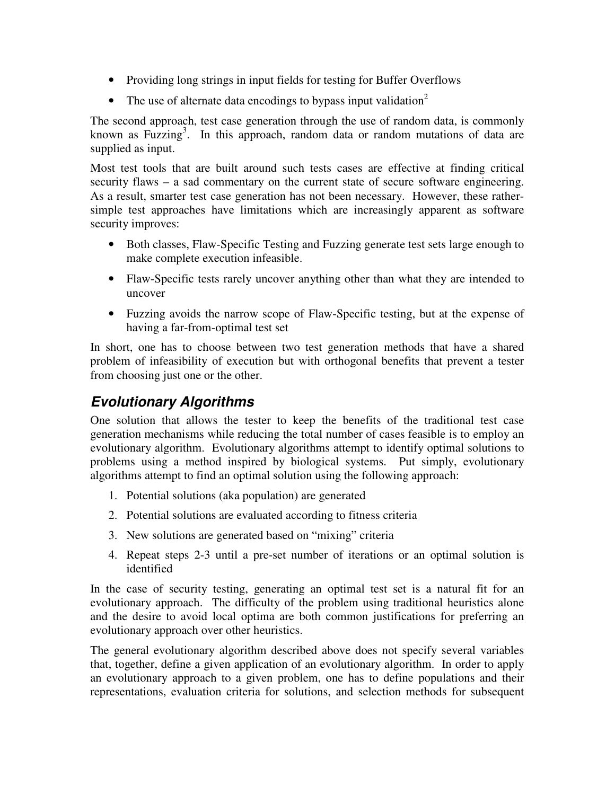- Providing long strings in input fields for testing for Buffer Overflows
- The use of alternate data encodings to bypass input validation<sup>2</sup>

The second approach, test case generation through the use of random data, is commonly known as Fuzzing<sup>3</sup>. In this approach, random data or random mutations of data are supplied as input.

Most test tools that are built around such tests cases are effective at finding critical security flaws – a sad commentary on the current state of secure software engineering. As a result, smarter test case generation has not been necessary. However, these rathersimple test approaches have limitations which are increasingly apparent as software security improves:

- Both classes, Flaw-Specific Testing and Fuzzing generate test sets large enough to make complete execution infeasible.
- Flaw-Specific tests rarely uncover anything other than what they are intended to uncover
- Fuzzing avoids the narrow scope of Flaw-Specific testing, but at the expense of having a far-from-optimal test set

In short, one has to choose between two test generation methods that have a shared problem of infeasibility of execution but with orthogonal benefits that prevent a tester from choosing just one or the other.

### **Evolutionary Algorithms**

One solution that allows the tester to keep the benefits of the traditional test case generation mechanisms while reducing the total number of cases feasible is to employ an evolutionary algorithm. Evolutionary algorithms attempt to identify optimal solutions to problems using a method inspired by biological systems. Put simply, evolutionary algorithms attempt to find an optimal solution using the following approach:

- 1. Potential solutions (aka population) are generated
- 2. Potential solutions are evaluated according to fitness criteria
- 3. New solutions are generated based on "mixing" criteria
- 4. Repeat steps 2-3 until a pre-set number of iterations or an optimal solution is identified

In the case of security testing, generating an optimal test set is a natural fit for an evolutionary approach. The difficulty of the problem using traditional heuristics alone and the desire to avoid local optima are both common justifications for preferring an evolutionary approach over other heuristics.

The general evolutionary algorithm described above does not specify several variables that, together, define a given application of an evolutionary algorithm. In order to apply an evolutionary approach to a given problem, one has to define populations and their representations, evaluation criteria for solutions, and selection methods for subsequent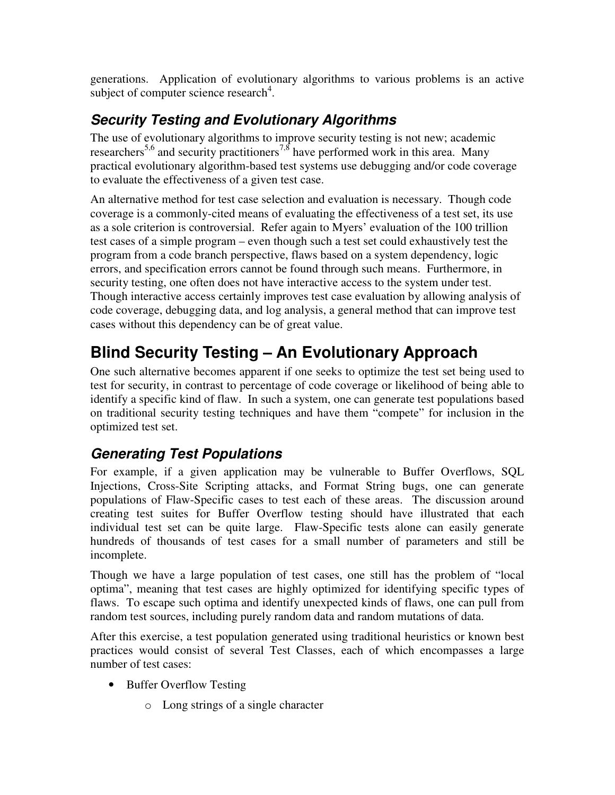generations. Application of evolutionary algorithms to various problems is an active subject of computer science research<sup>4</sup>.

### **Security Testing and Evolutionary Algorithms**

The use of evolutionary algorithms to improve security testing is not new; academic researchers<sup>5,6</sup> and security practitioners<sup>7,8</sup> have performed work in this area. Many practical evolutionary algorithm-based test systems use debugging and/or code coverage to evaluate the effectiveness of a given test case.

An alternative method for test case selection and evaluation is necessary. Though code coverage is a commonly-cited means of evaluating the effectiveness of a test set, its use as a sole criterion is controversial. Refer again to Myers' evaluation of the 100 trillion test cases of a simple program – even though such a test set could exhaustively test the program from a code branch perspective, flaws based on a system dependency, logic errors, and specification errors cannot be found through such means. Furthermore, in security testing, one often does not have interactive access to the system under test. Though interactive access certainly improves test case evaluation by allowing analysis of code coverage, debugging data, and log analysis, a general method that can improve test cases without this dependency can be of great value.

# **Blind Security Testing – An Evolutionary Approach**

One such alternative becomes apparent if one seeks to optimize the test set being used to test for security, in contrast to percentage of code coverage or likelihood of being able to identify a specific kind of flaw. In such a system, one can generate test populations based on traditional security testing techniques and have them "compete" for inclusion in the optimized test set.

### **Generating Test Populations**

For example, if a given application may be vulnerable to Buffer Overflows, SQL Injections, Cross-Site Scripting attacks, and Format String bugs, one can generate populations of Flaw-Specific cases to test each of these areas. The discussion around creating test suites for Buffer Overflow testing should have illustrated that each individual test set can be quite large. Flaw-Specific tests alone can easily generate hundreds of thousands of test cases for a small number of parameters and still be incomplete.

Though we have a large population of test cases, one still has the problem of "local optima", meaning that test cases are highly optimized for identifying specific types of flaws. To escape such optima and identify unexpected kinds of flaws, one can pull from random test sources, including purely random data and random mutations of data.

After this exercise, a test population generated using traditional heuristics or known best practices would consist of several Test Classes, each of which encompasses a large number of test cases:

- Buffer Overflow Testing
	- o Long strings of a single character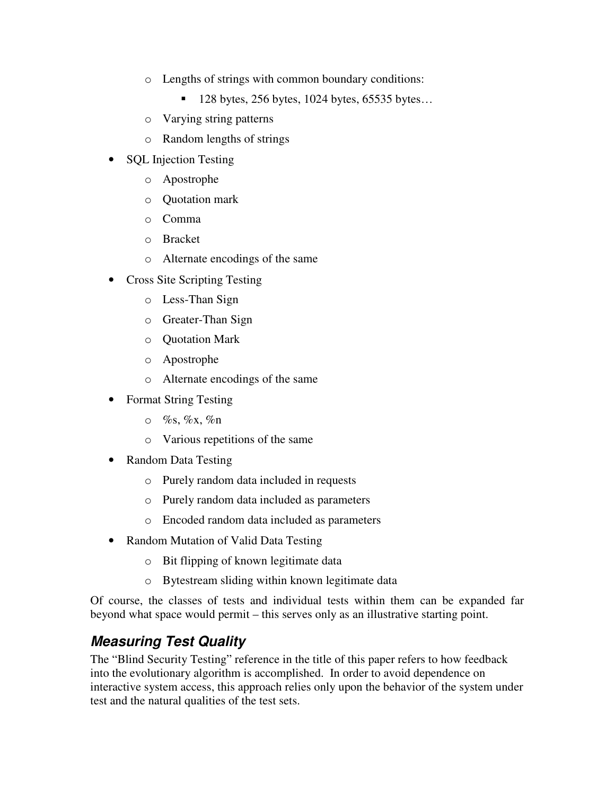- o Lengths of strings with common boundary conditions:
	- $128$  bytes, 256 bytes, 1024 bytes, 65535 bytes...
- o Varying string patterns
- o Random lengths of strings
- SQL Injection Testing
	- o Apostrophe
	- o Quotation mark
	- o Comma
	- o Bracket
	- o Alternate encodings of the same
- Cross Site Scripting Testing
	- o Less-Than Sign
	- o Greater-Than Sign
	- o Quotation Mark
	- o Apostrophe
	- o Alternate encodings of the same
- Format String Testing
	- $\circ$  %s, %x, %n
	- o Various repetitions of the same
- Random Data Testing
	- o Purely random data included in requests
	- o Purely random data included as parameters
	- o Encoded random data included as parameters
- Random Mutation of Valid Data Testing
	- o Bit flipping of known legitimate data
	- o Bytestream sliding within known legitimate data

Of course, the classes of tests and individual tests within them can be expanded far beyond what space would permit – this serves only as an illustrative starting point.

### **Measuring Test Quality**

The "Blind Security Testing" reference in the title of this paper refers to how feedback into the evolutionary algorithm is accomplished. In order to avoid dependence on interactive system access, this approach relies only upon the behavior of the system under test and the natural qualities of the test sets.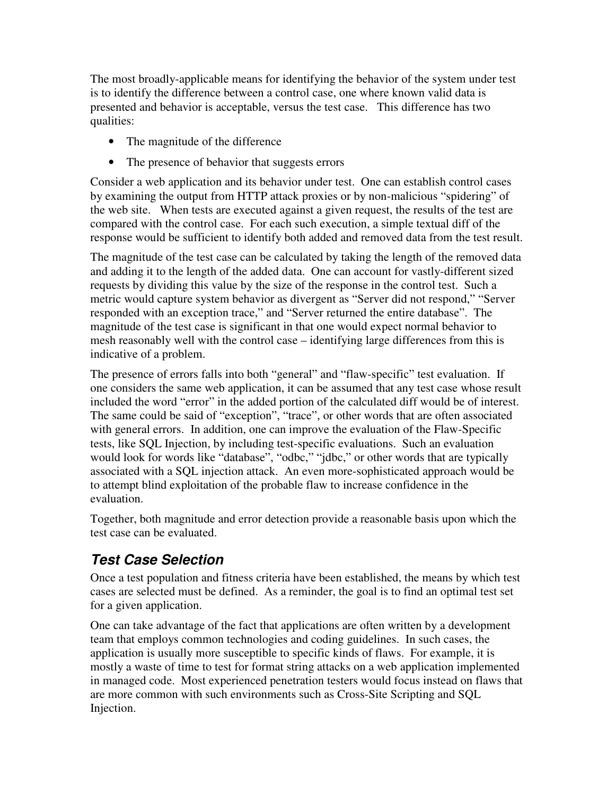The most broadly-applicable means for identifying the behavior of the system under test is to identify the difference between a control case, one where known valid data is presented and behavior is acceptable, versus the test case. This difference has two qualities:

- The magnitude of the difference
- The presence of behavior that suggests errors

Consider a web application and its behavior under test. One can establish control cases by examining the output from HTTP attack proxies or by non-malicious "spidering" of the web site. When tests are executed against a given request, the results of the test are compared with the control case. For each such execution, a simple textual diff of the response would be sufficient to identify both added and removed data from the test result.

The magnitude of the test case can be calculated by taking the length of the removed data and adding it to the length of the added data. One can account for vastly-different sized requests by dividing this value by the size of the response in the control test. Such a metric would capture system behavior as divergent as "Server did not respond," "Server responded with an exception trace," and "Server returned the entire database". The magnitude of the test case is significant in that one would expect normal behavior to mesh reasonably well with the control case – identifying large differences from this is indicative of a problem.

The presence of errors falls into both "general" and "flaw-specific" test evaluation. If one considers the same web application, it can be assumed that any test case whose result included the word "error" in the added portion of the calculated diff would be of interest. The same could be said of "exception", "trace", or other words that are often associated with general errors. In addition, one can improve the evaluation of the Flaw-Specific tests, like SQL Injection, by including test-specific evaluations. Such an evaluation would look for words like "database", "odbc," "jdbc," or other words that are typically associated with a SQL injection attack. An even more-sophisticated approach would be to attempt blind exploitation of the probable flaw to increase confidence in the evaluation.

Together, both magnitude and error detection provide a reasonable basis upon which the test case can be evaluated.

### **Test Case Selection**

Once a test population and fitness criteria have been established, the means by which test cases are selected must be defined. As a reminder, the goal is to find an optimal test set for a given application.

One can take advantage of the fact that applications are often written by a development team that employs common technologies and coding guidelines. In such cases, the application is usually more susceptible to specific kinds of flaws. For example, it is mostly a waste of time to test for format string attacks on a web application implemented in managed code. Most experienced penetration testers would focus instead on flaws that are more common with such environments such as Cross-Site Scripting and SQL Injection.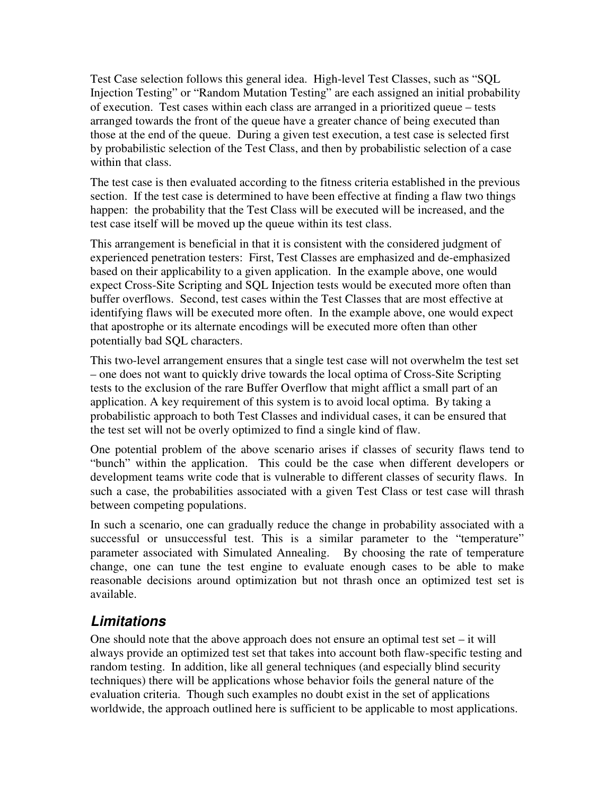Test Case selection follows this general idea. High-level Test Classes, such as "SQL Injection Testing" or "Random Mutation Testing" are each assigned an initial probability of execution. Test cases within each class are arranged in a prioritized queue – tests arranged towards the front of the queue have a greater chance of being executed than those at the end of the queue. During a given test execution, a test case is selected first by probabilistic selection of the Test Class, and then by probabilistic selection of a case within that class.

The test case is then evaluated according to the fitness criteria established in the previous section. If the test case is determined to have been effective at finding a flaw two things happen: the probability that the Test Class will be executed will be increased, and the test case itself will be moved up the queue within its test class.

This arrangement is beneficial in that it is consistent with the considered judgment of experienced penetration testers: First, Test Classes are emphasized and de-emphasized based on their applicability to a given application. In the example above, one would expect Cross-Site Scripting and SQL Injection tests would be executed more often than buffer overflows. Second, test cases within the Test Classes that are most effective at identifying flaws will be executed more often. In the example above, one would expect that apostrophe or its alternate encodings will be executed more often than other potentially bad SQL characters.

This two-level arrangement ensures that a single test case will not overwhelm the test set – one does not want to quickly drive towards the local optima of Cross-Site Scripting tests to the exclusion of the rare Buffer Overflow that might afflict a small part of an application. A key requirement of this system is to avoid local optima. By taking a probabilistic approach to both Test Classes and individual cases, it can be ensured that the test set will not be overly optimized to find a single kind of flaw.

One potential problem of the above scenario arises if classes of security flaws tend to "bunch" within the application. This could be the case when different developers or development teams write code that is vulnerable to different classes of security flaws. In such a case, the probabilities associated with a given Test Class or test case will thrash between competing populations.

In such a scenario, one can gradually reduce the change in probability associated with a successful or unsuccessful test. This is a similar parameter to the "temperature" parameter associated with Simulated Annealing. By choosing the rate of temperature change, one can tune the test engine to evaluate enough cases to be able to make reasonable decisions around optimization but not thrash once an optimized test set is available.

### **Limitations**

One should note that the above approach does not ensure an optimal test set  $-$  it will always provide an optimized test set that takes into account both flaw-specific testing and random testing. In addition, like all general techniques (and especially blind security techniques) there will be applications whose behavior foils the general nature of the evaluation criteria. Though such examples no doubt exist in the set of applications worldwide, the approach outlined here is sufficient to be applicable to most applications.